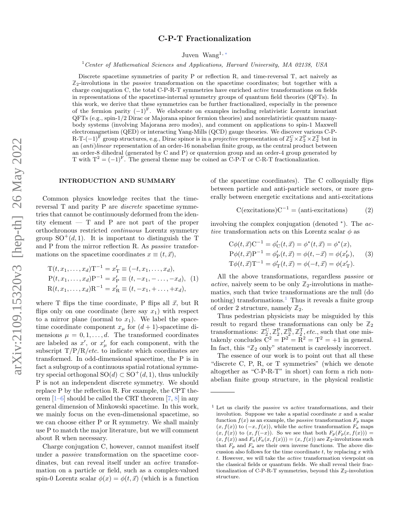# C-P-T Fractionalization

Juven Wang1, [∗](#page-7-0)

<sup>1</sup>Center of Mathematical Sciences and Applications, Harvard University, MA 02138, USA

Discrete spacetime symmetries of parity P or reflection R, and time-reversal T, act naively as  $\mathbb{Z}_2$ -involutions in the *passive* transformation on the spacetime coordinates; but together with a charge conjugation C, the total C-P-R-T symmetries have enriched active transformations on fields in representations of the spacetime-internal symmetry groups of quantum field theories (QFTs). In this work, we derive that these symmetries can be further fractionalized, especially in the presence of the fermion parity  $(-1)^{F}$ . We elaborate on examples including relativistic Lorentz invariant QFTs (e.g., spin-1/2 Dirac or Majorana spinor fermion theories) and nonrelativistic quantum manybody systems (involving Majorana zero modes), and comment on applications to spin-1 Maxwell electromagnetism (QED) or interacting Yang-Mills (QCD) gauge theories. We discover various C-P-R-T-(−1)<sup>F</sup> group structures, e.g., Dirac spinor is in a *projective* representation of  $\mathbb{Z}_2^C\times\mathbb{Z}_2^P\times\mathbb{Z}_2^T$  but in an (anti)linear representation of an order-16 nonabelian finite group, as the central product between an order-8 dihedral (generated by C and P) or quaternion group and an order-4 group generated by T with  $T^2 = (-1)^F$ . The general theme may be coined as C-P-T or C-R-T fractionalization.

### <span id="page-0-2"></span>INTRODUCTION AND SUMMARY

Common physics knowledge recites that the timereversal T and parity P are discrete spacetime symmetries that cannot be continuously deformed from the identity element — T and P are not part of the proper orthochronous restricted continuous Lorentz symmetry group  $SO^+(d,1)$ . It is important to distinguish the T and P from the mirror reflection R. As passive transformations on the spacetime coordinates  $x \equiv (t, \vec{x}),$ 

<span id="page-0-1"></span>
$$
T(t, x_1, ..., x_d)T^{-1} = x'_T \equiv (-t, x_1, ..., x_d),
$$
  
\n
$$
P(t, x_1, ..., x_d)P^{-1} = x'_P \equiv (t, -x_1, -..., -x_d), (1)
$$
  
\n
$$
R(t, x_1, ..., x_d)R^{-1} = x'_R \equiv (t, -x_1, +..., +x_d),
$$

where T flips the time coordinate, P flips all  $\vec{x}$ , but R flips only on one coordinate (here say  $x_1$ ) with respect to a mirror plane (normal to  $x_1$ ). We label the spacetime coordinate component  $x<sub>u</sub>$  for  $(d + 1)$ -spacetime dimensions  $\mu = 0, 1, \ldots, d$ . The transformed coordinates are labeled as  $x'$ , or  $x'_{\mu}$  for each component, with the subscript  $T/P/R/etc.$  to indicate which coordinates are transformed. In odd-dimensional spacetime, the P is in fact a subgroup of a continuous spatial rotational symmetry special orthogonal  $SO(d) \subset SO^+(d,1)$ , thus unluckily P is not an independent discrete symmetry. We should replace P by the reflection R. For example, the CPT theorem [\[1–](#page-7-1)[6\]](#page-7-2) should be called the CRT theorem [\[7,](#page-7-3) [8\]](#page-7-4) in any general dimension of Minkowski spacetime. In this work, we mainly focus on the even-dimensional spacetime, so we can choose either P or R symmetry. We shall mainly use P to match the major literature, but we will comment about R when necessary.

Charge conjugation C, however, cannot manifest itself under a passive transformation on the spacetime coordinates, but can reveal itself under an active transformation on a particle or field, such as a complex-valued spin-0 Lorentz scalar  $\phi(x) = \phi(t, \vec{x})$  (which is a function

of the spacetime coordinates). The C colloquially flips between particle and anti-particle sectors, or more generally between energetic excitations and anti-excitations

 $C$ (excitations) $C^{-1} = (anti-excitations)$  (2)

involving the complex conjugation (denoted <sup>∗</sup> ). The active transformation acts on this Lorentz scalar  $\phi$  as

$$
C\phi(t, \vec{x})C^{-1} = \phi'_C(t, \vec{x}) = \phi^*(t, \vec{x}) = \phi^*(x),
$$
  
\n
$$
P\phi(t, \vec{x})P^{-1} = \phi'_P(t, \vec{x}) = \phi(t, -\vec{x}) = \phi(x'_P),
$$
  
\n
$$
T\phi(t, \vec{x})T^{-1} = \phi'_T(t, \vec{x}) = \phi(-t, \vec{x}) = \phi(x'_T).
$$
\n(3)

All the above transformations, regardless passive or active, naively seem to be only  $\mathbb{Z}_2$ -involutions in mathematics, such that twice transformations are the null (do nothing) transformations.<sup>[1](#page-0-0)</sup> Thus it reveals a finite group of order 2 structure, namely  $\mathbb{Z}_2$ .

Thus pedestrian physicists may be misguided by this result to regard these transformations can only be  $\mathbb{Z}_2$ transformations:  $\mathbb{Z}_2^C$ ,  $\mathbb{Z}_2^P$ ,  $\mathbb{Z}_2^R$ ,  $\mathbb{Z}_2^T$ , *etc.*, such that one mistakenly concludes  $C^2 = P^2 = R^2 = T^2 = +1$  in general. In fact, this "**Z**<sup>2</sup> only" statement is carelessly incorrect.

The essence of our work is to point out that all these "discrete C, P, R, or T symmetries" (which we denote altogether as "C-P-R-T" in short) can form a rich nonabelian finite group structure, in the physical realistic

<span id="page-0-0"></span> $<sup>1</sup>$  Let us clarify the *passive* vs *active* transformations, and their</sup> involution. Suppose we take a spatial coordinate  $x$  and a scalar function  $f(x)$  as an example, the *passive* transformation  $F_p$  maps  $(x, f(x))$  to  $(-x, f(x))$ , while the *active* transformation  $F_a$  maps  $(x, f(x))$  to  $(x, f(-x))$ . So we see that both  $F_p(F_p(x, f(x))) =$  $(x, f(x))$  and  $F_a(F_a(x, f(x))) = (x, f(x))$  are  $\mathbb{Z}_2$ -involutions such that  $F_p$  and  $F_a$  are their own inverse functions. The above discussion also follows for the time coordinate  $t$ , by replacing  $x$  with t. However, we will take the active transformation viewpoint on the classical fields or quantum fields. We shall reveal their fractionalization of C-P-R-T symmetries, beyond this  $\mathbb{Z}_2$  -involution structure.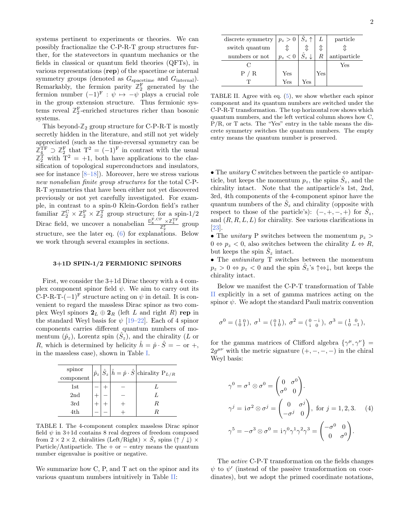systems pertinent to experiments or theories. We can possibly fractionalize the C-P-R-T group structures further, for the statevectors in quantum mechanics or the fields in classical or quantum field theories (QFTs), in various representations (rep) of the spacetime or internal symmetry groups (denoted as  $G_{\text{spacetime}}$  and  $G_{\text{internal}}$ ). Remarkably, the fermion parity  $\mathbb{Z}_2^{\mathbb{F}}$  generated by the fermion number  $(-1)^{F}$  :  $\psi \mapsto -\psi$  plays a crucial role in the group extension structure. Thus fermionic systems reveal  $\mathbb{Z}_2^{\mathbb{F}}$ -enriched structures richer than bosonic systems.

This beyond- $\mathbb{Z}_2$  group structure for C-P-R-T is mostly secretly hidden in the literature, and still not yet widely appreciated (such as the time-reversal symmetry can be  $\mathbb{Z}_4^{\text{TF}} \supset \mathbb{Z}_2^{\text{F}}$  that  $T^2 = (-1)^{\text{F}}$  in contrast with the usual  $\mathbb{Z}_2^{\mathrm{T}}$  with  $T^2 = +1$ , both have applications to the classification of topological superconductors and insulators, see for instance  $[8-18]$  $[8-18]$ . Moreover, here we stress various new nonabelian finite group structures for the total C-P-R-T symmetries that have been either not yet discovered previously or not yet carefully investigated. For example, in contrast to a spin-0 Klein-Gordon field's rather familiar  $\mathbb{Z}_2^C \times \mathbb{Z}_2^P \times \mathbb{Z}_2^T$  group structure; for a spin-1/2 Dirac field, we uncover a nonabelian  $\frac{\mathbb{D}_{8}^{\text{F,CP}} \times \mathbb{Z}_{4}^{\text{TF}}}{\mathbb{Z}_{2}^{\text{F}}}$  group structure, see the later eq. [\(6\)](#page-2-0) for explanations. Below we work through several examples in sections.

## <span id="page-1-2"></span>3+1D SPIN-1/2 FERMIONIC SPINORS

First, we consider the 3+1d Dirac theory with a 4 complex component spinor field  $\psi$ . We aim to carry out its C-P-R-T- $(-1)^F$  structure acting on  $\psi$  in detail. It is convenient to regard the massless Dirac spinor as two complex Weyl spinors  $2_L \oplus 2_R$  (left L and right R) rep in the standard Weyl basis for  $\psi$  [\[19–](#page-7-6)[22\]](#page-7-7). Each of 4 spinor components carries different quantum numbers of momentum  $(\hat{p}_z)$ , Lorentz spin  $(\hat{S}_z)$ , and the chirality (L or R, which is determined by helicity  $\hat{h} = \hat{p} \cdot \hat{S} = -$  or  $+$ , in the massless case), shown in Table [I.](#page-1-0)

| spinor<br>component |  | $\left \hat{p}_z\right \hat{S}_z\left \hat{h}=\hat{p}\cdot\hat{S}\right $ chirality $\mathrm{P}_{L/R}$ |
|---------------------|--|--------------------------------------------------------------------------------------------------------|
| 1st                 |  | Ι.                                                                                                     |
| 2nd                 |  | L                                                                                                      |
| 3rd                 |  | R                                                                                                      |
| 4th                 |  |                                                                                                        |

<span id="page-1-0"></span>TABLE I. The 4-component complex massless Dirac spinor field  $\psi$  in 3+1d contains 8 real degrees of freedom composed from  $2 \times 2 \times 2$ , chiralities (Left/Right)  $\times S_z$  spins ( $\uparrow$  /  $\downarrow$ )  $\times$ Particle/Antiparticle. The  $+$  or  $-$  entry means the quantum number eigenvalue is positive or negative.

We summarize how C, P, and T act on the spinor and its various quantum numbers intuitively in Table [II:](#page-1-1)

| discrete symmetry $ p_z > 0$ $ \hat{S}_z \uparrow$ |       |                        |     | particle     |
|----------------------------------------------------|-------|------------------------|-----|--------------|
| switch quantum                                     |       |                        |     |              |
| numbers or not                                     | $p_z$ | $\hat{S}_z \downarrow$ |     | antiparticle |
|                                                    |       |                        |     | Yes          |
| $_{\rm R}$                                         | Yes   |                        | Yes |              |
|                                                    | Yes   | Yes                    |     |              |

<span id="page-1-1"></span>TABLE II. Agree with eq. [\(5\)](#page-2-1), we show whether each spinor component and its quantum numbers are switched under the C-P-R-T transformation. The top horizontal row shows which quantum numbers, and the left vertical column shows how C,  $P/R$ , or T acts. The "Yes" entry in the table means the discrete symmetry switches the quantum numbers. The empty entry means the quantum number is preserved.

• The unitary C switches between the particle  $\Leftrightarrow$  antiparticle, but keeps the momentum  $p_z$ , the spins  $\hat{S}_z$ , and the chirality intact. Note that the antiparticle's 1st, 2nd, 3rd, 4th components of the 4-component spinor have the quantum numbers of the  $\hat{S}_z$  and chirality (opposite with respect to those of the particle's):  $(-, +, -, +)$  for  $\hat{S}_z$ , and  $(R, R, L, L)$  for chirality. See various clarifications in [\[23\]](#page-7-8).

• The *unitary* P switches between the momentum  $p_z$  $0 \Leftrightarrow p_z < 0$ , also switches between the chirality  $L \Leftrightarrow R$ , but keeps the spin  $\hat{S}_z$  intact.

• The antiunitary T switches between the momentum  $p_z > 0 \Leftrightarrow p_z < 0$  and the spin  $\hat{S}_z$ 's  $\uparrow \Leftrightarrow \downarrow$ , but keeps the chirality intact.

Below we manifest the C-P-T transformation of Table [II](#page-1-1) explicitly in a set of gamma matrices acting on the spinor  $\psi$ . We adopt the standard Pauli matrix convention

$$
\sigma^0=(\begin{smallmatrix} 1&0\\0&1 \end{smallmatrix}), \; \sigma^1=(\begin{smallmatrix} 0&1\\1&0 \end{smallmatrix}), \; \sigma^2=(\begin{smallmatrix} 0&-i\\i&0 \end{smallmatrix}), \; \sigma^3=(\begin{smallmatrix} 1&0\\0&-1 \end{smallmatrix}),
$$

for the gamma matrices of Clifford algebra  $\{\gamma^{\mu}, \gamma^{\nu}\}$  =  $2g^{\mu\nu}$  with the metric signature  $(+, -, -, -)$  in the chiral Weyl basis:

$$
\gamma^{0} = \sigma^{1} \otimes \sigma^{0} = \begin{pmatrix} 0 & \sigma^{0} \\ \sigma^{0} & 0 \end{pmatrix}.
$$
  
\n
$$
\gamma^{j} = i\sigma^{2} \otimes \sigma^{j} = \begin{pmatrix} 0 & \sigma^{j} \\ -\sigma^{j} & 0 \end{pmatrix}, \text{ for } j = 1, 2, 3.
$$
 (4)  
\n
$$
\gamma^{5} = -\sigma^{3} \otimes \sigma^{0} = i\gamma^{0} \gamma^{1} \gamma^{2} \gamma^{3} = \begin{pmatrix} -\sigma^{0} & 0 \\ 0 & \sigma^{0} \end{pmatrix}.
$$

The active C-P-T transformation on the fields changes  $\psi$  to  $\psi'$  (instead of the passive transformation on coordinates), but we adopt the primed coordinate notations,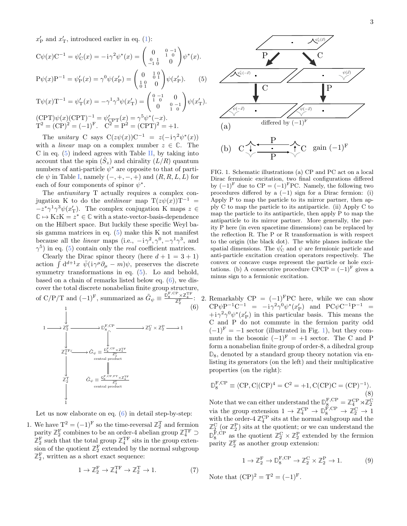$x'_{\rm P}$  and  $x'_{\rm T}$ , introduced earlier in eq. [\(1\)](#page-0-1):

<span id="page-2-1"></span>
$$
C\psi(x)C^{-1} = \psi'_C(x) = -i\gamma^2\psi^*(x) = \begin{pmatrix} 0 & 0 & -1 \\ 0 & 1 & 0 \\ -1 & 0 & 0 \end{pmatrix} \psi^*(x).
$$
  
\n
$$
P\psi(x)P^{-1} = \psi'_P(x) = \gamma^0\psi(x'_P) = \begin{pmatrix} 0 & 1 & 0 \\ 1 & 0 & 0 \\ 0 & 1 & 0 \end{pmatrix} \psi(x'_P).
$$
 (5)  
\n
$$
T\psi(x)T^{-1} = \psi'_T(x) = -\gamma^1\gamma^3\psi(x'_T) = \begin{pmatrix} 0 & -1 & 0 \\ 1 & 0 & 0 \\ 0 & 1 & 0 \end{pmatrix} \psi(x'_T).
$$
  
\n
$$
(CPT)\psi(x)(CPT)^{-1} = \psi'_{CPT}(x) = \gamma^5\psi^*(-x).
$$
  
\n
$$
T^2 = (CP)^2 = (-1)^F.
$$
 
$$
C^2 = P^2 = (CPT)^2 = +1.
$$

The unitary C says  $C(z\psi(x))C^{-1} = z(-i\gamma^2\psi^*(x))$ with a *linear* map on a complex number  $z \in \mathbb{C}$ . The C in eq.  $(5)$  indeed agrees with Table [II,](#page-1-1) by taking into account that the spin  $(\hat{S}_z)$  and chirality  $(L/R)$  quantum numbers of anti-particle  $\psi^*$  are opposite to that of particle  $\psi$  in Table [I,](#page-1-0) namely  $(-, +, -, +)$  and  $(R, R, L, L)$  for each of four components of spinor  $\psi^*$ .

The antiunitary T actually requires a complex conjugation K to do the *antilinear* map  $T(z\psi(x))T^{-1}$  =  $-z^*\gamma^1\gamma^3\psi(x'_T)$ . The complex conjugation K maps  $z \in$  $\mathbb{C} \mapsto KzK = z^* \in \mathbb{C}$  with a state-vector-basis-dependence on the Hilbert space. But luckily these specific Weyl basis gamma matrices in eq.  $(5)$  make this K not manifest because all the *linear* maps (i.e.,  $-i\gamma^2$ ,  $\gamma^0$ ,  $-\gamma^1\gamma^3$ , and  $\gamma^5$ ) in eq. [\(5\)](#page-2-1) contain only the *real* coefficient matrices.

Clearly the Dirac spinor theory (here  $d + 1 = 3 + 1$ ) action  $\int d^{d+1}x \ \bar{\psi}(i\gamma^{\mu}\partial_{\mu} - m)\psi$ , preserves the discrete symmetry transformations in eq.  $(5)$ . Lo and behold, based on a chain of remarks listed below eq. [\(6\)](#page-2-0), we discover the total discrete nonabelian finite group structure, of C/P/T and  $(-1)^F$ , summarized as  $\tilde{G}_{\psi} \equiv \frac{\mathbb{D}_8^{\text{F,CP}} \times \mathbb{Z}_4^{\text{TF}}}{\mathbb{Z}_2^{\text{F}}}$ . 1 (6)

<span id="page-2-0"></span>

Let us now elaborate on eq.  $(6)$  in detail step-by-step:

1. We have  $T^2 = (-1)^F$  so the time-reversal  $\mathbb{Z}_2^T$  and fermion parity  $\mathbb{Z}_2^{\text{F}}$  combines to be an order-4 abelian group  $\mathbb{Z}_4^{\text{TF}} \supset$  $\mathbb{Z}_2^{\mathbf{F}}$  such that the total group  $\mathbb{Z}_4^{\mathbf{TF}}$  sits in the group extension of the quotient  $\mathbb{Z}_2^{\mathrm{F}}$  extended by the normal subgroup  $\mathbb{Z}_2^{\text{F}}$ , written as a short exact sequence:

<span id="page-2-3"></span>
$$
1 \to \mathbb{Z}_2^{\mathcal{F}} \to \mathbb{Z}_4^{\mathcal{TF}} \to \mathbb{Z}_2^{\mathcal{T}} \to 1. \tag{7}
$$



<span id="page-2-2"></span>FIG. 1. Schematic illustrations (a) CP and PC act on a local Dirac fermionic excitation, two final configurations differed by  $(-1)^{F}$  due to  $CP = (-1)^{F}PC$ . Namely, the following two procedures differed by a  $(-1)$  sign for a Dirac fermion: (i) Apply P to map the particle to its mirror partner, then apply C to map the particle to its antiparticle. (ii) Apply C to map the particle to its antiparticle, then apply P to map the antiparticle to its mirror partner. More generally, the parity P here (in even spacetime dimensions) can be replaced by the reflection R. The P or R transformation is with respect to the origin (the black dot). The white planes indicate the spatial dimensions. The  $\psi'_{\rm C}$  and  $\psi$  are fermionic particle and anti-particle excitation creation operators respectively. The convex or concave cusps represent the particle or hole excitations. (b) A consecutive procedure CPCP =  $(-1)^{F}$  gives a minus sign to a fermionic excitation.

2. Remarkably  $\text{CP} = (-1)^{\text{F}} \text{PC}$  here, while we can show  $\text{CP}\psi\text{P}^{-1}\text{C}^{-1} = -i\gamma^2\gamma^0\psi^*(x'_\text{P})$  and  $\text{PC}\psi\text{C}^{-1}\text{P}^{-1} =$  $+i\gamma^2\gamma^0\psi^*(x'_P)$  in this particular basis. This means the C and P do not commute in the fermion parity odd  $(-1)^{F} = -1$  $(-1)^{F} = -1$  $(-1)^{F} = -1$  sector (illustrated in Fig. 1), but they commute in the bosonic  $(-1)^{F} = +1$  sector. The C and P form a nonabelian finite group of order-8, a dihedral group **D**8, denoted by a standard group theory notation via enlisting its generators (on the left) and their multiplicative properties (on the right):

$$
\mathbb{D}_8^{\text{F,CP}} \equiv \langle \text{CP}, \text{C} | (\text{CP})^4 = \text{C}^2 = +1, \text{C}(\text{CP})\text{C} = (\text{CP})^{-1} \rangle. \tag{8}
$$

Note that we can either understand the  $\mathbb{D}_{8}^{\text{F,CP}} = \mathbb{Z}_4^{\text{CP}} \rtimes \mathbb{Z}_2^{\text{C}}$ via the group extension  $1 \to \mathbb{Z}_4^{\text{CP}} \to \mathbb{D}_8^{\text{F,CP}} \to \mathbb{Z}_2^{\text{C}} \to 1$ with the order- $4 \mathbb{Z}_4^{\text{CP}}$  sits at the normal subgroup and the  $\mathbb{Z}_2^C$  (or  $\mathbb{Z}_2^P$ ) sits at the quotient; or we can understand the  $\mathbb{D}_{8}^{\text{F,CP}}$  as the quotient  $\mathbb{Z}_{2}^{\text{C}} \times \mathbb{Z}_{2}^{\text{P}}$  extended by the fermion parity  $\mathbb{Z}_2^{\mathrm{F}}$  as another group extension:

<span id="page-2-4"></span>
$$
1 \to \mathbb{Z}_2^{\mathcal{F}} \to \mathbb{D}_8^{\mathcal{F}, \mathcal{CP}} \to \mathbb{Z}_2^{\mathcal{C}} \times \mathbb{Z}_2^{\mathcal{P}} \to 1. \tag{9}
$$

Note that  $(CP)^2 = T^2 = (-1)^F$ .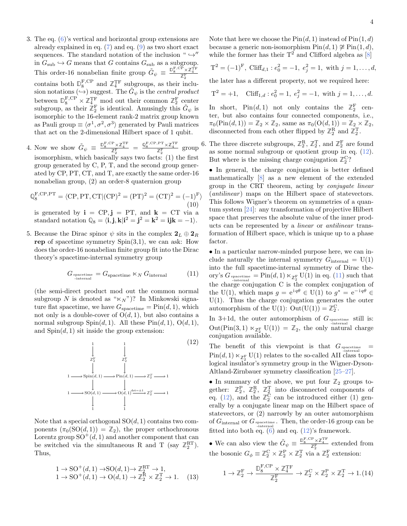- 3. The eq. [\(6\)](#page-2-0)'s vertical and horizontal group extensions are already explained in eq. [\(7\)](#page-2-3) and eq. [\(9\)](#page-2-4) as two short exact sequences. The standard notation of the inclusion "  $\hookrightarrow^{\prime\prime}$ in  $G_{sub} \hookrightarrow G$  means that G contains  $G_{sub}$  as a subgroup. This order-16 nonabelian finite group  $\tilde{G}_{\psi} \equiv \frac{D_S^{\text{F,CP}} \times \mathbb{Z}_4^{\text{TF}}}{\mathbb{Z}_2^{\text{F}}}$ contains both  $\mathbb{D}_{8}^{\text{F,CP}}$  and  $\mathbb{Z}_{4}^{\text{TF}}$  subgroups, as their inclusion notations  $(\rightarrow)$  suggest. The  $\tilde{G}_{\psi}$  is the central product between  $\mathbb{D}_{8}^{\text{F,CP}} \times \mathbb{Z}_{4_{\text{F}}}^{\text{TF}}$  mod out their common  $\mathbb{Z}_{2}^{\text{F}}$  center subgroup, as their  $\mathbb{Z}_2^{\mathrm{F}}$  is identical. Amusingly this  $\tilde{G}_{\psi}$  is isomorphic to the 16-element rank-2 matrix group known as Pauli group  $\equiv \langle \sigma^1, \sigma^2, \sigma^3 \rangle$  generated by Pauli matrices that act on the 2-dimensional Hilbert space of 1 qubit.
- 4. Now we show  $\tilde{G}_{\psi} \equiv \frac{\mathbb{D}_8^{\text{F,CP}} \times \mathbb{Z}_4^{\text{TF}}}{\mathbb{Z}_2^{\text{F}}} = \frac{\mathbb{Q}_8^{\text{F,CP},\text{PT}} \times \mathbb{Z}_4^{\text{TF}}}{\mathbb{Z}_2^{\text{F}}}$  group isomorphism, which basically says two facts: (1) the first group generated by C, P, T, and the second group generated by CP, PT, CT, and T, are exactly the same order-16 nonabelian group, (2) an order-8 quaternion group

$$
\mathbb{Q}_8^{\text{F,CP,PT}} = \langle \text{CP, PT}, \text{CT} | (\text{CP})^2 = (\text{PT})^2 = (\text{CT})^2 = (-1)^{\text{F}} \rangle \tag{10}
$$

is generated by  $\mathbf{i} = \mathbf{C} \mathbf{P}, \mathbf{j} = \mathbf{P} \mathbf{T}$ , and  $\mathbf{k} = \mathbf{C} \mathbf{T}$  via a standard notation  $\mathbb{Q}_8 = \langle \mathbf{i}, \mathbf{j}, \mathbf{k} | \mathbf{i}^2 = \mathbf{j}^2 = \mathbf{k}^2 = \mathbf{ijk} = -1 \rangle.$ 

5. Because the Dirac spinor  $\psi$  sits in the complex  $\mathbf{2}_L \oplus \mathbf{2}_R$ rep of spacetime symmetry  $Spin(3,1)$ , we can ask: How does the order-16 nonabelian finite group fit into the Dirac theory's spacetime-internal symmetry group

<span id="page-3-1"></span>
$$
G_{\text{spacetime}} = G_{\text{spacetime}} \ltimes_N G_{\text{internal}}
$$
 (11)

(the semi-direct product mod out the common normal subgroup N is denoted as " $\ltimes_N$ ")? In Minkowski signature flat spacetime, we have  $G_{\text{spacetime}} = \text{Pin}(d, 1)$ , which not only is a double-cover of  $O(d, 1)$ , but also contains a normal subgroup  $Spin(d,1)$ . All these  $Pin(d,1)$ ,  $O(d,1)$ , and  $Spin(d,1)$  sit inside the group extension:

<span id="page-3-0"></span>

Note that a special orthogonal  $SO(d, 1)$  contains two components  $(\pi_0(SO(d, 1)) = \mathbb{Z}_2)$ , the proper orthochronous Lorentz group  $SO^+(d, 1)$  and another component that can be switched via the simultaneous R and T (say  $\mathbb{Z}_2^{\text{RT}}$ ). Thus,

$$
1 \rightarrow SO^+(d, 1) \rightarrow SO(d, 1) \rightarrow \mathbb{Z}_2^{\text{RT}} \rightarrow 1,
$$
  

$$
1 \rightarrow SO^+(d, 1) \rightarrow O(d, 1) \rightarrow \mathbb{Z}_2^{\text{R}} \times \mathbb{Z}_2^{\text{T}} \rightarrow 1.
$$
 (13)

Note that here we choose the  $Pin(d, 1)$  instead of  $Pin(1, d)$ because a generic non-isomorphism  $Pin(d, 1) \ncong Pin(1, d),$ while the former has their  $T^2$  and Clifford algebra as [\[8\]](#page-7-4)

$$
T^{2} = (-1)^{F}, \text{ Cliff}_{d,1} : e_{0}^{2} = -1, e_{j}^{2} = 1, \text{ with } j = 1, ..., d,
$$

the later has a different property, not we required here:

$$
T^2 = +1
$$
,  $C\text{lift}_{1,d}: e_0^2 = 1, e_j^2 = -1$ , with  $j = 1, ..., d$ .

In short,  $\text{Pin}(d,1)$  not only contains the  $\mathbb{Z}_2^{\text{F}}$  center, but also contains four connected components, i.e.,  $\pi_0(\text{Pin}(d, 1)) = \mathbb{Z}_2 \times \mathbb{Z}_2$ , same as  $\pi_0(\text{O}(d, 1)) = \mathbb{Z}_2 \times \mathbb{Z}_2$ , disconnected from each other flipped by  $\mathbb{Z}_2^R$  and  $\mathbb{Z}_2^T$ .

6. The three discrete subgroups,  $\mathbb{Z}_2^R$ ,  $\mathbb{Z}_2^T$ , and  $\mathbb{Z}_2^F$  are found as some normal subgroup or quotient group in eq. [\(12\)](#page-3-0). But where is the missing charge conjugation  $\mathbb{Z}_2^C$ ?

• In general, the charge conjugation is better defined mathematically [\[8\]](#page-7-4) as a new element of the extended group in the CRT theorem, acting by conjugate linear  $(antilinear)$  maps on the Hilbert space of statevectors. This follows Wigner's theorem on symmetries of a quantum system [\[24\]](#page-7-9): any transformation of projective Hilbert space that preserves the absolute value of the inner products can be represented by a linear or antilinear transformation of Hilbert space, which is unique up to a phase factor.

• In a particular narrow-minded purpose here, we can include naturally the internal symmetry  $G_{\text{internal}} = U(1)$ into the full spacetime-internal symmetry of Dirac theory's  $G_{\text{spacetime}} = \text{Pin}(d, 1) \ltimes_{\mathbb{Z}_2^{\text{F}}} \text{U}(1)$  in eq. [\(11\)](#page-3-1) such that the charge conjugation C is the complex conjugation of the U(1), which maps  $g = e^{i q \theta} \in U(1)$  to  $g^* = e^{-i q \theta} \in$  $U(1)$ . Thus the charge conjugation generates the outer automorphism of the U(1):  $Out(U(1)) = \mathbb{Z}_2^C$ .

In 3+1d, the outer automorphism of  $G_{\text{spacetime}}$  still is:  $Out(\text{Pin}(3,1) \ltimes_{\mathbb{Z}_2^{\text{F}}} U(1)) = \mathbb{Z}_2$ , the only natural charge conjugation available.

The benefit of this viewpoint is that  $G_{\text{spacetime}}$  $\text{Pin}(d, 1) \ltimes_{\mathbb{Z}_2^{\text{F}}} \text{U}(1)$  relates to the so-called AII class topo-= logical insulator's symmetry group in the Wigner-Dyson-Altland-Zirnbauer symmetry classification [\[25](#page-7-10)[–27\]](#page-7-11).

• In summary of the above, we put four  $\mathbb{Z}_2$  groups together:  $\mathbb{Z}_2^{\mathbf{P}}, \mathbb{Z}_2^{\mathbf{R}}, \mathbb{Z}_2^{\mathbf{T}}$  into disconnected components of eq. [\(12\)](#page-3-0), and the  $\mathbb{Z}_2^C$  can be introduced either (1) generally by a conjugate linear map on the Hilbert space of statevectors, or (2) narrowly by an outer automorphism of  $G_{\text{internal}}$  or  $G_{\text{spacetime}}$  . Then, the order-16 group can be fitted into both eq.  $(6)$  and eq.  $(12)$ 's framework.

• We can also view the  $\tilde{G}_{\psi} \equiv \frac{\mathbb{D}_8^{\mathbb{F}, \text{CP}} \times \mathbb{Z}_4^{\text{TF}}}{\mathbb{Z}_2^{\mathbb{F}}}$  extended from the bosonic  $G_{\phi} \equiv \mathbb{Z}_2^C \times \mathbb{Z}_2^P \times \mathbb{Z}_2^T$  via a  $\mathbb{Z}_2^F$  extension:

<span id="page-3-2"></span>
$$
1 \to \mathbb{Z}_2^{\mathcal{F}} \to \frac{\mathbb{D}_8^{\mathcal{F}, \mathcal{CP}} \times \mathbb{Z}_4^{\mathcal{TF}}}{\mathbb{Z}_2^{\mathcal{F}}} \to \mathbb{Z}_2^{\mathcal{C}} \times \mathbb{Z}_2^{\mathcal{P}} \times \mathbb{Z}_2^{\mathcal{T}} \to 1. (14)
$$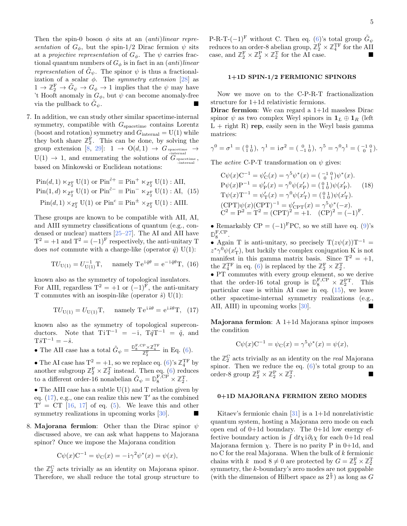Then the spin-0 boson  $\phi$  sits at an *(anti)linear repre*sentation of  $G_{\phi}$ , but the spin-1/2 Dirac fermion  $\psi$  sits at a projective representation of  $G_{\phi}$ . The  $\psi$  carries fractional quantum numbers of  $G_{\phi}$  is in fact in an  $(anti) linear$ representation of  $\tilde{G}_{\psi}$ . The spinor  $\psi$  is thus a fractionalization of a scalar  $\phi$ . The symmetry extension [\[28\]](#page-7-12) as  $1 \to \mathbb{Z}_2^{\text{F}} \to \tilde{G}_{\psi} \to \tilde{G}_{\phi} \to 1$  implies that the  $\psi$  may have 't Hooft anomaly in  $G_{\phi}$ , but  $\psi$  can become anomaly-free via the pullback to  $G_{\psi}$ .  $\psi$ .

7. In addition, we can study other similar spacetime-internal symmetry, compatible with  $G_{\text{spacetime}}$  contains Lorentz (boost and rotation) symmetry and  $G<sub>internal</sub> = U(1)$  while they both share  $\mathbb{Z}_2^F$ . This can be done, by solving the group extension [\[8,](#page-7-4) [29\]](#page-7-13):  $1 \rightarrow O(d, 1) \rightarrow G_{spacetime} \rightarrow$  $U(1) \rightarrow 1$ , and enumerating the solutions of  $G_{spacetime}$ , based on Minkowski or Euclidean notations:

<span id="page-4-1"></span>
$$
\text{Pin}(d, 1) \ltimes_{\mathbb{Z}_2^{\mathcal{F}}} \text{U}(1) \text{ or } \text{Pin}^{\tilde{c}+} \equiv \text{Pin}^+ \ltimes_{\mathbb{Z}_2^{\mathcal{F}}} \text{U}(1) : \text{AII},
$$
\n
$$
\text{Pin}(1, d) \ltimes_{\mathbb{Z}_2^{\mathcal{F}}} \text{U}(1) \text{ or } \text{Pin}^{\tilde{c}-} \equiv \text{Pin}^- \ltimes_{\mathbb{Z}_2^{\mathcal{F}}} \text{U}(1) : \text{AI}, \tag{15}
$$
\n
$$
\text{Pin}(d, 1) \times_{\mathbb{Z}_2^{\mathcal{F}}} \text{U}(1) \text{ or } \text{Pin}^c \equiv \text{Pin}^{\pm} \times_{\mathbb{Z}_2^{\mathcal{F}}} \text{U}(1) : \text{AIII}.
$$

These groups are known to be compatible with AII, AI, and AIII symmetry classifications of quantum (e.g., condensed or nuclear) matters [\[25](#page-7-10)[–27\]](#page-7-11). The AI and AII have  $T^2 = +1$  and  $T^2 = (-1)^F$  respectively, the anti-unitary T does *not* commute with a charge-like (operator  $\hat{q}$ ) U(1):

$$
TU_{U(1)} = U_{U(1)}^{-1}T
$$
, namely  $Te^{i\hat{q}\theta} = e^{-i\hat{q}\theta}T$ , (16)

known also as the symmetry of topological insulators. For AIII, regardless  $T^2 = +1$  or  $(-1)^F$ , the anti-unitary T commutes with an isospin-like (operator  $\hat{s}$ ) U(1):

<span id="page-4-0"></span>
$$
TU_{U(1)} = U_{U(1)}T, \quad \text{namely } Te^{i\hat{s}\theta} = e^{i\hat{s}\theta}T, \tag{17}
$$

known also as the symmetry of topological superconductors. Note that  $TiT^{-1} = -i$ ,  $T\hat{q}T^{-1} = \hat{q}$ , and  $T\hat{s}T^{-1}=-\hat{s}.$ 

- The AII case has a total  $\tilde{G}_{\psi} = \frac{\mathbb{D}_8^{\text{F,CP}} \times \mathbb{Z}_4^{\text{TF}}}{\mathbb{Z}_2^{\text{F}}}$  in Eq. [\(6\)](#page-2-0).
- The AI case has  $T^2 = +1$ , so we replace eq. [\(6\)](#page-2-0)'s  $\mathbb{Z}_4^{\text{TF}}$  by another subgroup  $\mathbb{Z}_2^{\mathcal{F}} \times \mathbb{Z}_2^{\mathcal{T}}$  instead. Then eq. [\(6\)](#page-2-0) reduces to a different order-16 nonabelian  $\tilde{G}_{\psi} = \mathbb{D}_{8}^{\text{F,CP}} \times \mathbb{Z}_{2}^{\text{T}}$ .

• The AIII case has a subtle  $U(1)$  and T relation given by eq.  $(17)$ , e.g., one can realize this new T' as the combined  $T' = CT$  [\[16,](#page-7-14) [17\]](#page-7-15) of eq. [\(5\)](#page-2-1). We leave this and other symmetry realizations in upcoming works  $[30]$ .

8. Majorana fermion: Other than the Dirac spinor  $\psi$ discussed above, we can ask what happens to Majorana spinor? Once we impose the Majorana condition

$$
C\psi(x)C^{-1} = \psi_C(x) = -i\gamma^2 \psi^*(x) = \psi(x),
$$

the  $\mathbb{Z}_2^C$  acts trivially as an identity on Majorana spinor. Therefore, we shall reduce the total group structure to P-R-T- $(-1)^{F}$  without C. Then eq. [\(6\)](#page-2-0)'s total group  $\tilde{G}_{\psi}$ reduces to an order-8 abelian group,  $\mathbb{Z}_2^{\text{P}} \times \mathbb{Z}_4^{\text{TF}}$  for the AII case, and  $\mathbb{Z}_2^{\mathcal{F}} \times \mathbb{Z}_2^{\mathcal{P}} \times \mathbb{Z}_2^{\mathcal{T}}$  for the AI case.

# <span id="page-4-2"></span>1+1D SPIN-1/2 FERMIONIC SPINORS

Now we move on to the C-P-R-T fractionalization structure for 1+1d relativistic fermions.

Dirac fermion: We can regard a 1+1d massless Dirac spinor  $\psi$  as two complex Weyl spinors in  $\mathbf{1}_L \oplus \mathbf{1}_R$  (left  $L +$  right R) rep, easily seen in the Weyl basis gamma matrices:

$$
\gamma^0 = \sigma^1 = \begin{pmatrix} 0 & 1 \\ 1 & 0 \end{pmatrix}, \ \gamma^1 = i\sigma^2 = \begin{pmatrix} 0 & 1 \\ -1 & 0 \end{pmatrix}, \ \gamma^5 = \gamma^0 \gamma^1 = \begin{pmatrix} -1 & 0 \\ 0 & 1 \end{pmatrix}.
$$

The *active* C-P-T transformation on  $\psi$  gives:

$$
C\psi(x)C^{-1} = \psi'_C(x) = \gamma^5 \psi^*(x) = \begin{pmatrix} -1 & 0 \\ 0 & 1 \end{pmatrix} \psi^*(x).
$$
  
\n
$$
P\psi(x)P^{-1} = \psi'_P(x) = \gamma^0 \psi(x'_P) = \begin{pmatrix} 0 & 1 \\ 1 & 0 \end{pmatrix} \psi(x'_P).
$$
 (18)  
\n
$$
T\psi(x)T^{-1} = \psi'_T(x) = \gamma^0 \psi(x'_T) = \begin{pmatrix} 0 & 1 \\ 1 & 0 \end{pmatrix} \psi(x'_T).
$$
  
\n
$$
(CPT)\psi(x)(CPT)^{-1} = \psi'_{CPT}(x) = \gamma^5 \psi^*(-x).
$$
  
\n
$$
C^2 = P^2 = T^2 = (CPT)^2 = +1.
$$
 (CP)<sup>2</sup> = (-1)<sup>F</sup>.

• Remarkably  $CP = (-1)^F PC$ , so we still have eq. [\(9\)](#page-2-4)'s  $\mathbb{D}_8^{\mathrm{F,CP}}$ .

• Again T is anti-unitary, so precisely  $T(z\psi(x))T^{-1} =$  $z^*\gamma^0\psi(x'_T)$ , but luckily the complex conjugation K is not manifest in this gamma matrix basis. Since  $T^2 = +1$ , the  $\mathbb{Z}_4^{\text{TF}}$  in eq. [\(6\)](#page-2-0) is replaced by the  $\mathbb{Z}_2^{\text{F}} \times \mathbb{Z}_2^{\text{T}}$ .

• PT commutes with every group element, so we derive that the order-16 total group is  $\mathbb{D}_{8}^{\text{F,CP}} \times \mathbb{Z}_{2}^{\text{PT}}$ . This particular case is within AI case in eq. [\(15\)](#page-4-1), we leave other spacetime-internal symmetry realizations (e.g., AII, AIII) in upcoming works [\[30\]](#page-7-16).

Majorana fermion: A 1+1d Majorana spinor imposes the condition

$$
C\psi(x)C^{-1} = \psi_C(x) = \gamma^5 \psi^*(x) = \psi(x),
$$

the  $\mathbb{Z}_2^C$  acts trivially as an identity on the *real* Majorana spinor. Then we reduce the eq.  $(6)$ 's total group to an order-8 group  $\mathbb{Z}_2^{\text{F}} \times \mathbb{Z}_2^{\text{P}} \times \mathbb{Z}_2^{\text{T}}$ .

## <span id="page-4-3"></span>0+1D MAJORANA FERMION ZERO MODES

Kitaev's fermionic chain  $[31]$  is a 1+1d nonrelativistic quantum system, hosting a Majorana zero mode on each open end of 0+1d boundary. The 0+1d low energy effective boundary action is  $\int dt \chi i \partial_t \chi$  for each 0+1d real Majorana fermion  $\chi$ . There is no parity P in 0+1d, and no C for the real Majorana. When the bulk of k fermionic chains with  $k \mod 8 \neq 0$  are protected by  $G = \mathbb{Z}_2^{\mathbf{F}} \times \mathbb{Z}_2^{\mathbf{T}}$ symmetry, the k-boundary's zero modes are not gappable (with the dimension of Hilbert space as  $2^{\frac{k}{2}}$ ) as long as G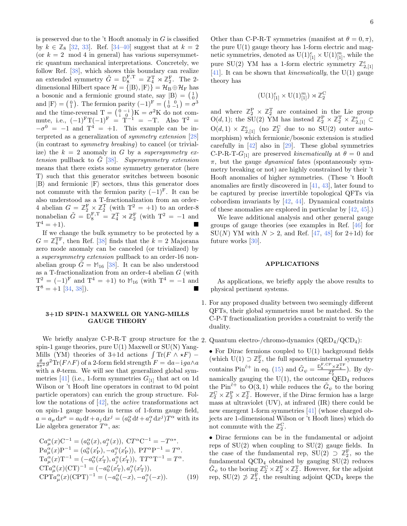is preserved due to the  $\cdot$ t Hooft anomaly in G is classified by  $k \in \mathbb{Z}_8$  [\[32,](#page-7-18) [33\]](#page-7-19). Ref. [\[34–](#page-7-20)[40\]](#page-7-21) suggest that at  $k = 2$ (or  $k = 2 \mod 4$  in general) has various supersymmetric quantum mechanical interpretations. Concretely, we follow Ref. [\[38\]](#page-7-22), which shows this boundary can realize an extended symmetry  $\tilde{G} = \mathbb{D}_{8}^{\text{F,T}} = \mathbb{Z}_{4}^{\text{T}} \rtimes \mathbb{Z}_{2}^{\text{F}}$ . The 2dimensional Hilbert space  $\mathcal{H} = \{|\text{B}\rangle, |\text{F}\rangle\} = \mathcal{H}_{\text{B}} \oplus \mathcal{H}_{\text{F}}$  has a bosonic and a fermionic ground state, say  $|B\rangle = \begin{pmatrix} 1 \\ 0 \end{pmatrix}$ and  $|F\rangle = \begin{pmatrix} 0 \\ 1 \end{pmatrix}$ . The fermion parity  $(-1)^{F} = \begin{pmatrix} 1 & 0 \\ 0 & -1 \end{pmatrix} = \sigma^3$ and  $|Y| = (1)$ . The fermion partly  $(-1) = (0 -1) = 0$ <br>and the time-reversal  $T = \begin{pmatrix} 0 & -i \\ i & 0 \end{pmatrix} K = \sigma^2 K$  do not commute, i.e.,  $(-1)^{F}T(-1)^{F} = T^{-1} = -T$ . Also  $T^{2} =$  $-\sigma^0 = -1$  and  $T^4 = +1$ . This example can be interpreted as a generalization of symmetry extension [\[28\]](#page-7-12) (in contrast to symmetry breaking) to cancel (or trivialize) the  $k = 2$  anomaly in G by a supersymmetry extension pullback to  $\tilde{G}$  [\[38\]](#page-7-22). Supersymmetry extension means that there exists some symmetry generator (here T) such that this generator switches between bosonic  $|B\rangle$  and fermionic  $|F\rangle$  sectors, thus this generator does not commute with the fermion parity  $(-1)^{F}$ . It can be also understood as a T-fractionalization from an order-4 abelian  $G = \mathbb{Z}_2^{\mathbb{F}} \times \mathbb{Z}_2^{\mathbb{T}}$  (with  $T^2 = +1$ ) to an order-8 nonabelian  $\tilde{G} = \mathbb{D}_{8}^{\text{F,T}} = \mathbb{Z}_{4}^{\text{T}} \rtimes \mathbb{Z}_{2}^{\text{F}}$  (with  $T^{2} = -1$  and  $T^4 = +1$ ).

If we change the bulk symmetry to be protected by a  $G = \mathbb{Z}_4^{\text{TF}}$ , then Ref. [\[38\]](#page-7-22) finds that the  $k = 2$  Majorana zero mode anomaly can be canceled (or trivialized) by a supersymmetry extension pullback to an order-16 nonabelian group  $G = M_{16}$  [\[38\]](#page-7-22). It can be also understood as a T-fractionalization from an order-4 abelian G (with  $T^2 = (-1)^F$  and  $T^4 = +1$ ) to  $M_{16}$  (with  $T^4 = -1$  and  $T^8 = +1$  [\[34,](#page-7-20) [38\]](#page-7-22)).

## <span id="page-5-0"></span>3+1D SPIN-1 MAXWELL OR YANG-MILLS GAUGE THEORY

We briefly analyze C-P-R-T group structure for the 2. Quantum electro-/chromo-dynamics  $(QED_4/QCD_4)$ : spin-1 gauge theories, pure  $U(1)$  Maxwell or  $SU(N)$  Yang-Mills (YM) theories of 3+1d actions  $\int Tr(F \wedge \star F)$  –  $\frac{\theta}{8\pi^2}g^2 \text{Tr}(F \wedge F)$  of a 2-form field strength  $F = da - i g a \wedge a$ with a  $\theta$ -term. We will see that generalized global sym-metries [\[41\]](#page-7-23) (i.e., 1-form symmetries  $G_{11}$  that act on 1d Wilson or 't Hooft line operators in contrast to 0d point particle operators) can enrich the group structure. Follow the notations of [\[42\]](#page-7-24), the active transformations act on spin-1 gauge bosons in terms of 1-form gauge field,  $a = a_{\mu} dx^{\mu} = a_0 dt + a_j dx^{j} = (a_0^{\alpha} dt + a_j^{\alpha} dx^{j}) T^{\alpha}$  with its Lie algebra generator  $T^{\alpha}$ , as:

$$
Ca^{\alpha}_{\mu}(x)C^{-1} = (a^{\alpha}_{0}(x), a^{\alpha}_{j}(x)), CT^{\alpha}C^{-1} = -T^{\alpha*}.
$$
  
\n
$$
Pa^{\alpha}_{\mu}(x)P^{-1} = (a^{\alpha}_{0}(x'_{P}), -a^{\alpha}_{j}(x'_{P})), PT^{\alpha}P^{-1} = T^{\alpha}.
$$
  
\n
$$
Ta^{\alpha}_{\mu}(x)T^{-1} = (-a^{\alpha}_{0}(x'_{T}), a^{\alpha}_{j}(x'_{T})), TT^{\alpha}T^{-1} = T^{\alpha}.
$$
  
\n
$$
CTa^{\alpha}_{\mu}(x)(CT)^{-1} = (-a^{\alpha}_{0}(x'_{T}), a^{\alpha}_{j}(x'_{T})),
$$
  
\n
$$
CPTa^{\alpha}_{\mu}(x)(CPT)^{-1} = (-a^{\alpha}_{0}(-x), -a^{\alpha}_{j}(-x)).
$$
\n(19)

Other than C-P-R-T symmetries (manifest at  $\theta = 0, \pi$ ), the pure  $U(1)$  gauge theory has 1-form electric and magnetic symmetries, denoted as  $\mathrm{U}(1)^e_{[1]}\times \mathrm{U}(1)^m_{[1]}$ , while the pure SU(2) YM has a 1-form electric symmetry  $\mathbb{Z}_{2,[1]}^e$ [\[41\]](#page-7-23). It can be shown that *kinematically*, the  $U(1)$  gauge theory has

$$
(\mathrm{U}(1)^e_{[1]}\times \mathrm{U}(1)^m_{[1]})\rtimes \mathbb{Z}_2^\mathbf{C}
$$

and where  $\mathbb{Z}_2^{\mathbf{P}} \times \mathbb{Z}_2^{\mathbf{T}}$  are contained in the Lie group O(d, 1); the SU(2) YM has instead  $\mathbb{Z}_2^P \times \mathbb{Z}_2^T \times \mathbb{Z}_{2,[1]}^e \subset$  $O(d, 1) \times \mathbb{Z}_{2,[1]}^e$  (no  $\mathbb{Z}_2^C$  due to no SU(2) outer automorphism) which fermionic/bosonic extension is studied carefully in [\[42\]](#page-7-24) also in [\[29\]](#page-7-13). These global symmetries C-P-R-T- $G_{[1]}$  are preserved kinematically at  $\theta = 0$  and  $\pi$ , but the gauge *dynamical* fates (spontaneously symmetry breaking or not) are highly constrained by their 't Hooft anomalies of higher symmetries. (These 't Hooft anomalies are firstly discovered in [\[41,](#page-7-23) [43\]](#page-7-25), later found to be captured by precise invertible topological QFTs via cobordism invariants by [\[42,](#page-7-24) [44\]](#page-7-26). Dynamical constraints of these anomalies are explored in particular by [\[42,](#page-7-24) [45\]](#page-7-27).)

We leave additional analysis and other general gauge groups of gauge theories (see examples in Ref. [\[46\]](#page-8-0) for  $SU(N)$  YM with  $N > 2$ , and Ref. [\[47,](#page-8-1) [48\]](#page-8-2) for 2+1d) for future works [\[30\]](#page-7-16).

#### <span id="page-5-1"></span>APPLICATIONS

As applications, we briefly apply the above results to physical pertinent systems.

1. For any proposed duality between two seemingly different QFTs, their global symmetries must be matched. So the C-P-T fractionalization provides a constraint to verify the duality.

• For Dirac fermions coupled to  $U(1)$  background fields (which  $U(1) \supset \mathbb{Z}_2^F$ , the full spacetime-internal symmetry contains Pin<sup> $\tilde{c}$ + in eq. [\(15\)](#page-4-1) and  $\tilde{G}_{\psi} = \frac{\mathbb{D}_8^{\text{F,CP}} \times \mathbb{Z}_4^{\text{TF}}}{\mathbb{Z}_2^{\text{F}}}$ ). By dy-</sup> namically gauging the  $U(1)$ , the outcome  $\text{QED}_4$  reduces the Pin<sup> $\tilde{c}$ + to  $O(3, 1)$  while reduces the  $\tilde{G}_{\psi}$  to the boring</sup>  $\mathbb{Z}_2^C \times \mathbb{Z}_2^P \times \mathbb{Z}_2^T$ . However, if the Dirac fermion has a large mass at ultraviolet (UV), at infrared (IR) there could be new emergent 1-form symmetries [\[41\]](#page-7-23) (whose charged objects are 1-dimensional Wilson or 't Hooft lines) which do not commute with the  $\mathbb{Z}_2^C$ .

• Dirac fermions can be in the fundamental or adjoint reps of  $SU(2)$  when coupling to  $SU(2)$  gauge fields. In the case of the fundamental rep,  $SU(2) \supseteq \mathbb{Z}_2^F$ , so the fundamental  $QCD_4$  obtained by gauging  $SU(2)$  reduces  $\tilde{G}_{\psi}$  to the boring  $\mathbb{Z}_2^{\mathbf{C}} \times \mathbb{Z}_2^{\mathbf{P}} \times \mathbb{Z}_2^{\mathbf{T}}$ . However, for the adjoint rep,  $SU(2) \not\supset \mathbb{Z}_2^F$ , the resulting adjoint  $QCD_4$  keeps the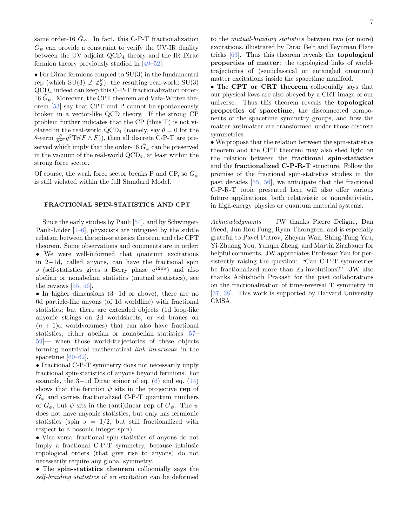same order-16  $\tilde{G}_{\psi}$ . In fact, this C-P-T fractionalization  $\tilde{G}_{\psi}$  can provide a constraint to verify the UV-IR duality between the UV adjoint QCD<sup>4</sup> theory and the IR Dirac fermion theory previously studied in [\[49](#page-8-3)[–52\]](#page-8-4).

• For Dirac fermions coupled to SU(3) in the fundamental rep (which SU(3)  $\not\supseteq \mathbb{Z}_2^{\mathbb{F}}$ ), the resulting real-world SU(3) QCD<sup>4</sup> indeed can keep this C-P-T fractionalization order-16  $\tilde{G}_{\psi}$ . Moreover, the CPT theorem and Vafa-Witten theorem [\[53\]](#page-8-5) say that CPT and P cannot be spontaneously broken in a vector-like QCD theory. If the strong CP problem further indicates that the CP (thus T) is not violated in the real-world QCD<sub>4</sub> (namely, say  $\theta = 0$  for the θ-term  $\frac{\theta}{8\pi^2} g^2 \text{Tr}(F \wedge F)$ , then all discrete C-P-T are preserved which imply that the order-16  $\tilde{G}_\psi$  can be preserved in the vacuum of the real-world  $\text{QCD}_4$ , at least within the strong force sector.

Of course, the weak force sector breaks P and CP, so  $\tilde{G}_{\psi}$ is still violated within the full Standard Model.

#### <span id="page-6-0"></span>FRACTIONAL SPIN-STATISTICS AND CPT

Since the early studies by Pauli [\[54\]](#page-8-6), and by Schwinger-Pauli-Lüder  $[1-6]$  $[1-6]$ , physicists are intrigued by the subtle relation between the spin-statistics theorem and the CPT theorem. Some observations and comments are in order: • We were well-informed that quantum excitations in 2+1d, called anyons, can have the fractional spin s (self-statistics gives a Berry phase  $e^{i2\pi s}$ ) and also abelian or nonabelian statistics (mutual statistics), see the reviews [\[55,](#page-8-7) [56\]](#page-8-8).

• In higher dimensions  $(3+1d)$  or above), there are no 0d particle-like anyons (of 1d worldline) with fractional statistics; but there are extended objects (1d loop-like anyonic strings on 2d worldsheets, or nd branes on  $(n + 1)d$  worldvolumes) that can also have fractional statistics, either abelian or nonabelian statistics [\[57–](#page-8-9) [59\]](#page-8-10)— when those world-trajectories of these objects forming nontrivial mathematical link invariants in the spacetime [\[60–](#page-8-11)[62\]](#page-8-12).

• Fractional C-P-T symmetry does not necessarily imply fractional spin-statistics of anyons beyond fermions. For example, the  $3+1d$  Dirac spinor of eq. [\(6\)](#page-2-0) and eq. [\(14\)](#page-3-2) shows that the fermion  $\psi$  sits in the projective rep of  $G_{\phi}$  and carries fractionalized C-P-T quantum numbers of  $G_{\phi}$ , but  $\psi$  sits in the (anti)linear rep of  $\tilde{G}_{\psi}$ . The  $\psi$ does not have anyonic statistics, but only has fermionic statistics (spin  $s = 1/2$ , but still fractionalized with respect to a bosonic integer spin).

• Vice versa, fractional spin-statistics of anyons do not imply a fractional C-P-T symmetry, because intrinsic topological orders (that give rise to anyons) do not necessarily require any global symmetry.

• The spin-statistics theorem colloquially says the self-braiding statistics of an excitation can be deformed

to the mutual-braiding statistics between two (or more) excitations, illustrated by Dirac Belt and Feynman Plate tricks [\[63\]](#page-8-13). Thus this theorem reveals the topological properties of matter: the topological links of worldtrajectories of (semiclassical or entangled quantum) matter excitations inside the spacetime manifold.

• The CPT or CRT theorem colloquially says that our physical laws are also obeyed by a CRT image of our universe. Thus this theorem reveals the topological properties of spacetime, the disconnected components of the spacetime symmetry groups, and how the matter-antimatter are transformed under those discrete symmetries.

• We propose that the relation between the spin-statistics theorem and the CPT theorem may also shed light on the relation between the fractional spin-statistics and the fractionalized C-P-R-T structure. Follow the promise of the fractional spin-statistics studies in the past decades [\[55,](#page-8-7) [56\]](#page-8-8), we anticipate that the fractional C-P-R-T topic presented here will also offer various future applications, both relativistic or nonrelativistic, in high-energy physics or quantum material systems.

Acknowledgments — JW thanks Pierre Deligne, Dan Freed, Jun Hou Fung, Ryan Thorngren, and is especially grateful to Pavel Putrov, Zheyan Wan, Shing-Tung Yau, Yi-Zhuang You, Yunqin Zheng, and Martin Zirnbauer for helpful comments. JW appreciates Professor Yau for persistently raising the question: "Can C-P-T symmetries be fractionalized more than  $\mathbb{Z}_2$ -involutions?" JW also thanks Abhishodh Prakash for the past collaborations on the fractionalization of time-reversal T symmetry in [\[37,](#page-7-28) [38\]](#page-7-22). This work is supported by Harvard University CMSA.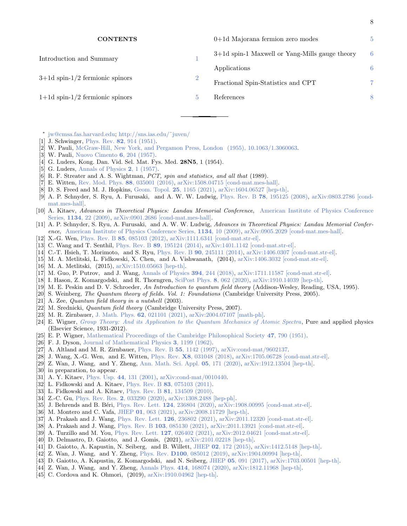| <b>CONTENTS</b>                      |                | $0+1d$ Majorana fermion zero modes             | 5 |
|--------------------------------------|----------------|------------------------------------------------|---|
| Introduction and Summary             | $\overline{2}$ | 3+1d spin-1 Maxwell or Yang-Mills gauge theory | 6 |
|                                      |                | Applications                                   | 6 |
| $3+1d$ spin- $1/2$ fermionic spinors |                | Fractional Spin-Statistics and CPT             | 7 |
| $1+1d$ spin- $1/2$ fermionic spinors |                | References                                     | 8 |
|                                      |                |                                                |   |

8

<span id="page-7-29"></span><span id="page-7-0"></span>∗ [jw@cmsa.fas.harvard.edu;](mailto:jw@cmsa.fas.harvard.edu) [http://sns.ias.edu/˜juven/](http://sns.ias.edu/~juven/)

- <span id="page-7-1"></span>[1] J. Schwinger, Phys. Rev. **82**[, 914 \(1951\).](http://dx.doi.org/10.1103/PhysRev.82.914)
- [2] W. Pauli, [McGraw-Hill, New York, and Pergamon Press, London \(1955\), 10.1063/1.3060063.](http://dx.doi.org/10.1063/1.3060063)
- [3] W. Pauli, [Nuovo Cimento](http://dx.doi.org/10.1007/BF02827771) 6, 204 (1957).
- [4] G. Luders, Kong. Dan. Vid. Sel. Mat. Fys. Med. 28N5, 1 (1954).
- [5] G. Luders, [Annals of Physics](http://dx.doi.org/https://doi.org/10.1016/0003-4916(57)90032-5) 2, 1 (1957).
- <span id="page-7-2"></span> $[6]$  R. F. Streater and A. S. Wightman, *PCT*, spin and statistics, and all that (1989).
- <span id="page-7-3"></span>[7] E. Witten, [Rev. Mod. Phys.](http://dx.doi.org/10.1103/RevModPhys.88.035001) 88, 035001 (2016), [arXiv:1508.04715 \[cond-mat.mes-hall\].](http://arxiv.org/abs/1508.04715)
- <span id="page-7-4"></span>[8] D. S. Freed and M. J. Hopkins, [Geom. Topol.](http://dx.doi.org/10.2140/gt.2021.25.1165) 25, 1165 (2021), [arXiv:1604.06527 \[hep-th\].](http://arxiv.org/abs/1604.06527)
- [9] A. P. Schnyder, S. Ryu, A. Furusaki, and A. W. W. Ludwig, Phys. Rev. B 78[, 195125 \(2008\),](http://dx.doi.org/10.1103/PhysRevB.78.195125) [arXiv:0803.2786 \[cond](http://arxiv.org/abs/0803.2786)[mat.mes-hall\].](http://arxiv.org/abs/0803.2786)
- [10] A. Kitaev, Advances in Theoretical Physics: Landau Memorial Conference, [American Institute of Physics Conference](http://dx.doi.org/ 10.1063/1.3149495) Series, 1134[, 22 \(2009\),](http://dx.doi.org/ 10.1063/1.3149495) [arXiv:0901.2686 \[cond-mat.mes-hall\].](http://arxiv.org/abs/0901.2686)
- [11] A. P. Schnyder, S. Ryu, A. Furusaki, and A. W. W. Ludwig, Advances in Theoretical Physics: Landau Memorial Conference, [American Institute of Physics Conference Series,](http://dx.doi.org/10.1063/1.3149481) 1134, 10 (2009), [arXiv:0905.2029 \[cond-mat.mes-hall\].](http://arxiv.org/abs/0905.2029) [12] X.-G. Wen, Phys. Rev. B 85[, 085103 \(2012\),](http://dx.doi.org/10.1103/PhysRevB.85.085103) [arXiv:1111.6341 \[cond-mat.str-el\].](http://arxiv.org/abs/1111.6341)
- [13] C. Wang and T. Senthil, Phys. Rev. B 89[, 195124 \(2014\),](http://dx.doi.org/10.1103/PhysRevB.89.195124) [arXiv:1401.1142 \[cond-mat.str-el\].](http://arxiv.org/abs/1401.1142)
- [14] C.-T. Hsieh, T. Morimoto, and S. Ryu, Phys. Rev. B 90[, 245111 \(2014\),](http://dx.doi.org/10.1103/PhysRevB.90.245111) [arXiv:1406.0307 \[cond-mat.str-el\].](http://arxiv.org/abs/1406.0307)
- [15] M. A. Metlitski, L. Fidkowski, X. Chen, and A. Vishwanath, (2014), [arXiv:1406.3032 \[cond-mat.str-el\].](http://arxiv.org/abs/1406.3032)
- <span id="page-7-14"></span>
- [16] M. A. Metlitski, (2015), [arXiv:1510.05663 \[hep-th\].](http://arxiv.org/abs/1510.05663)
- <span id="page-7-15"></span>[17] M. Guo, P. Putrov, and J. Wang, [Annals of Physics](http://dx.doi.org/10.1016/j.aop.2018.04.025) 394, 244 (2018), [arXiv:1711.11587 \[cond-mat.str-el\].](http://arxiv.org/abs/1711.11587)
- <span id="page-7-5"></span>[18] I. Hason, Z. Komargodski, and R. Thorngren, [SciPost Phys.](http://dx.doi.org/10.21468/SciPostPhys.8.4.062) 8, 062 (2020), [arXiv:1910.14039 \[hep-th\].](http://arxiv.org/abs/1910.14039)
- <span id="page-7-6"></span>[19] M. E. Peskin and D. V. Schroeder, An Introduction to quantum field theory (Addison-Wesley, Reading, USA, 1995).
- [20] S. Weinberg, *The Quantum theory of fields. Vol. 1: Foundations* (Cambridge University Press, 2005).
- [21] A. Zee, *Quantum field theory in a nutshell* (2003).
- <span id="page-7-7"></span>[22] M. Srednicki, Quantum field theory (Cambridge University Press, 2007).
- <span id="page-7-8"></span>[23] M. R. Zirnbauer, J. Math. Phys. 62[, 021101 \(2021\),](http://dx.doi.org/10.1063/5.0035358) [arXiv:2004.07107 \[math-ph\].](http://arxiv.org/abs/2004.07107)
- <span id="page-7-9"></span>[24] E. Wigner, [Group Theory: And its Application to the Quantum Mechanics of Atomic Spectra](https://books.google.com/books?id=ENZzI49uZMcC), Pure and applied physics (Elsevier Science, 1931-2012).
- <span id="page-7-10"></span>[25] E. P. Wigner, [Mathematical Proceedings of the Cambridge Philosophical Society](http://dx.doi.org/10.1017/S0305004100027237) 47, 790 (1951).
- [26] F. J. Dyson, [Journal of Mathematical Physics](http://dx.doi.org/10.1063/1.1703863) 3, 1199 (1962).
- <span id="page-7-11"></span>[27] A. Altland and M. R. Zirnbauer, Phys. Rev. B 55[, 1142 \(1997\),](http://dx.doi.org/10.1103/PhysRevB.55.1142) [arXiv:cond-mat/9602137.](http://arxiv.org/abs/arXiv:cond-mat/9602137)
- <span id="page-7-12"></span>[28] J. Wang, X.-G. Wen, and E. Witten, Phys. Rev. X8[, 031048 \(2018\),](http://dx.doi.org/10.1103/PhysRevX.8.031048) [arXiv:1705.06728 \[cond-mat.str-el\].](http://arxiv.org/abs/1705.06728)
- <span id="page-7-13"></span>[29] Z. Wan, J. Wang, and Y. Zheng, [Ann. Math. Sci. Appl.](http://dx.doi.org/10.4310/AMSA.2020.v5.n2.a2) 05, 171 (2020), [arXiv:1912.13504 \[hep-th\].](http://arxiv.org/abs/1912.13504)
- <span id="page-7-16"></span>[30] in preparation, to appear.
- <span id="page-7-17"></span>[31] A. Y. Kitaev, Phys. Usp. 44[, 131 \(2001\),](http://dx.doi.org/ 10.1070/1063-7869/44/10S/S29) [arXiv:cond-mat/0010440.](http://arxiv.org/abs/cond-mat/0010440)
- <span id="page-7-18"></span>[32] L. Fidkowski and A. Kitaev, Phys. Rev. B 83[, 075103 \(2011\).](http://dx.doi.org/10.1103/PhysRevB.83.075103)
- <span id="page-7-19"></span>[33] L. Fidkowski and A. Kitaev, Phys. Rev. B 81[, 134509 \(2010\).](http://dx.doi.org/10.1103/PhysRevB.81.134509)
- <span id="page-7-20"></span>[34] Z.-C. Gu, [Phys. Rev. Res.](http://dx.doi.org/10.1103/PhysRevResearch.2.033290) 2, 033290 (2020), [arXiv:1308.2488 \[hep-ph\].](http://arxiv.org/abs/1308.2488)
- [35] J. Behrends and B. Béri, [Phys. Rev. Lett.](http://dx.doi.org/10.1103/PhysRevLett.124.236804) 124, 236804 (2020), [arXiv:1908.00995 \[cond-mat.str-el\].](http://arxiv.org/abs/1908.00995)
- [36] M. Montero and C. Vafa, JHEP 01[, 063 \(2021\),](http://dx.doi.org/10.1007/JHEP01(2021)063) [arXiv:2008.11729 \[hep-th\].](http://arxiv.org/abs/2008.11729)
- <span id="page-7-28"></span>[37] A. Prakash and J. Wang, [Phys. Rev. Lett.](http://dx.doi.org/10.1103/PhysRevLett.126.236802) 126, 236802 (2021), [arXiv:2011.12320 \[cond-mat.str-el\].](http://arxiv.org/abs/2011.12320)
- <span id="page-7-22"></span>[38] A. Prakash and J. Wang, Phys. Rev. B 103[, 085130 \(2021\),](http://dx.doi.org/10.1103/PhysRevB.103.085130) [arXiv:2011.13921 \[cond-mat.str-el\].](http://arxiv.org/abs/2011.13921)
- [39] A. Turzillo and M. You, [Phys. Rev. Lett.](http://dx.doi.org/10.1103/PhysRevLett.127.026402) 127, 026402 (2021), [arXiv:2012.04621 \[cond-mat.str-el\].](http://arxiv.org/abs/2012.04621)
- <span id="page-7-21"></span>[40] D. Delmastro, D. Gaiotto, and J. Gomis, (2021), [arXiv:2101.02218 \[hep-th\].](http://arxiv.org/abs/2101.02218)
- <span id="page-7-23"></span>[41] D. Gaiotto, A. Kapustin, N. Seiberg, and B. Willett, JHEP 02[, 172 \(2015\),](http://dx.doi.org/10.1007/JHEP02(2015)172) [arXiv:1412.5148 \[hep-th\].](http://arxiv.org/abs/1412.5148)
- <span id="page-7-24"></span>[42] Z. Wan, J. Wang, and Y. Zheng, Phys. Rev. D100[, 085012 \(2019\),](http://dx.doi.org/10.1103/PhysRevD.100.085012) [arXiv:1904.00994 \[hep-th\].](http://arxiv.org/abs/1904.00994)
- <span id="page-7-25"></span>[43] D. Gaiotto, A. Kapustin, Z. Komargodski, and N. Seiberg, JHEP 05[, 091 \(2017\),](http://dx.doi.org/10.1007/JHEP05(2017)091) [arXiv:1703.00501 \[hep-th\].](http://arxiv.org/abs/1703.00501)
- <span id="page-7-26"></span>[44] Z. Wan, J. Wang, and Y. Zheng, Annals Phys. 414[, 168074 \(2020\),](http://dx.doi.org/10.1016/j.aop.2020.168074) [arXiv:1812.11968 \[hep-th\].](http://arxiv.org/abs/1812.11968)
- <span id="page-7-27"></span>[45] C. Cordova and K. Ohmori, (2019), [arXiv:1910.04962 \[hep-th\].](http://arxiv.org/abs/1910.04962)